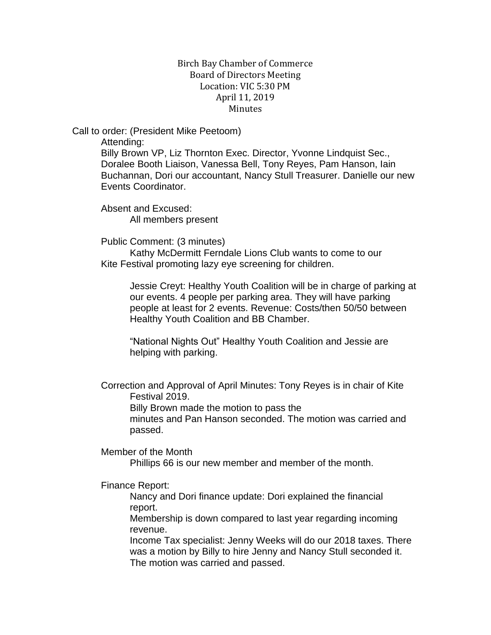## Birch Bay Chamber of Commerce Board of Directors Meeting Location: VIC 5:30 PM April 11, 2019 **Minutes**

Call to order: (President Mike Peetoom)

Attending:

Billy Brown VP, Liz Thornton Exec. Director, Yvonne Lindquist Sec., Doralee Booth Liaison, Vanessa Bell, Tony Reyes, Pam Hanson, Iain Buchannan, Dori our accountant, Nancy Stull Treasurer. Danielle our new Events Coordinator.

Absent and Excused: All members present

Public Comment: (3 minutes)

Kathy McDermitt Ferndale Lions Club wants to come to our Kite Festival promoting lazy eye screening for children.

Jessie Creyt: Healthy Youth Coalition will be in charge of parking at our events. 4 people per parking area. They will have parking people at least for 2 events. Revenue: Costs/then 50/50 between Healthy Youth Coalition and BB Chamber.

"National Nights Out" Healthy Youth Coalition and Jessie are helping with parking.

Correction and Approval of April Minutes: Tony Reyes is in chair of Kite Festival 2019.

Billy Brown made the motion to pass the

minutes and Pan Hanson seconded. The motion was carried and passed.

Member of the Month

Phillips 66 is our new member and member of the month.

Finance Report:

Nancy and Dori finance update: Dori explained the financial report.

Membership is down compared to last year regarding incoming revenue.

Income Tax specialist: Jenny Weeks will do our 2018 taxes. There was a motion by Billy to hire Jenny and Nancy Stull seconded it. The motion was carried and passed.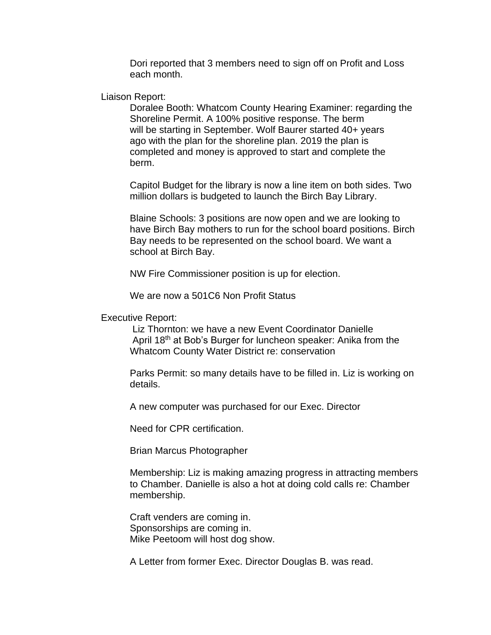Dori reported that 3 members need to sign off on Profit and Loss each month.

Liaison Report:

Doralee Booth: Whatcom County Hearing Examiner: regarding the Shoreline Permit. A 100% positive response. The berm will be starting in September. Wolf Baurer started 40+ years ago with the plan for the shoreline plan. 2019 the plan is completed and money is approved to start and complete the berm.

Capitol Budget for the library is now a line item on both sides. Two million dollars is budgeted to launch the Birch Bay Library.

Blaine Schools: 3 positions are now open and we are looking to have Birch Bay mothers to run for the school board positions. Birch Bay needs to be represented on the school board. We want a school at Birch Bay.

NW Fire Commissioner position is up for election.

We are now a 501C6 Non Profit Status

Executive Report:

Liz Thornton: we have a new Event Coordinator Danielle April 18th at Bob's Burger for luncheon speaker: Anika from the Whatcom County Water District re: conservation

Parks Permit: so many details have to be filled in. Liz is working on details.

A new computer was purchased for our Exec. Director

Need for CPR certification.

Brian Marcus Photographer

Membership: Liz is making amazing progress in attracting members to Chamber. Danielle is also a hot at doing cold calls re: Chamber membership.

Craft venders are coming in. Sponsorships are coming in. Mike Peetoom will host dog show.

A Letter from former Exec. Director Douglas B. was read.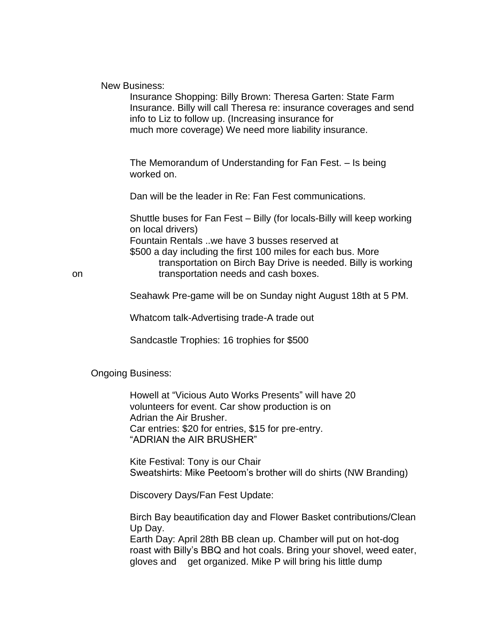## New Business:

Insurance Shopping: Billy Brown: Theresa Garten: State Farm Insurance. Billy will call Theresa re: insurance coverages and send info to Liz to follow up. (Increasing insurance for much more coverage) We need more liability insurance.

The Memorandum of Understanding for Fan Fest. – Is being worked on.

Dan will be the leader in Re: Fan Fest communications.

Shuttle buses for Fan Fest – Billy (for locals-Billy will keep working on local drivers) Fountain Rentals ..we have 3 busses reserved at \$500 a day including the first 100 miles for each bus. More

transportation on Birch Bay Drive is needed. Billy is working on transportation needs and cash boxes.

Seahawk Pre-game will be on Sunday night August 18th at 5 PM.

Whatcom talk-Advertising trade-A trade out

Sandcastle Trophies: 16 trophies for \$500

Ongoing Business:

Howell at "Vicious Auto Works Presents" will have 20 volunteers for event. Car show production is on Adrian the Air Brusher. Car entries: \$20 for entries, \$15 for pre-entry. "ADRIAN the AIR BRUSHER"

Kite Festival: Tony is our Chair Sweatshirts: Mike Peetoom's brother will do shirts (NW Branding)

Discovery Days/Fan Fest Update:

Birch Bay beautification day and Flower Basket contributions/Clean Up Day.

Earth Day: April 28th BB clean up. Chamber will put on hot-dog roast with Billy's BBQ and hot coals. Bring your shovel, weed eater, gloves and get organized. Mike P will bring his little dump